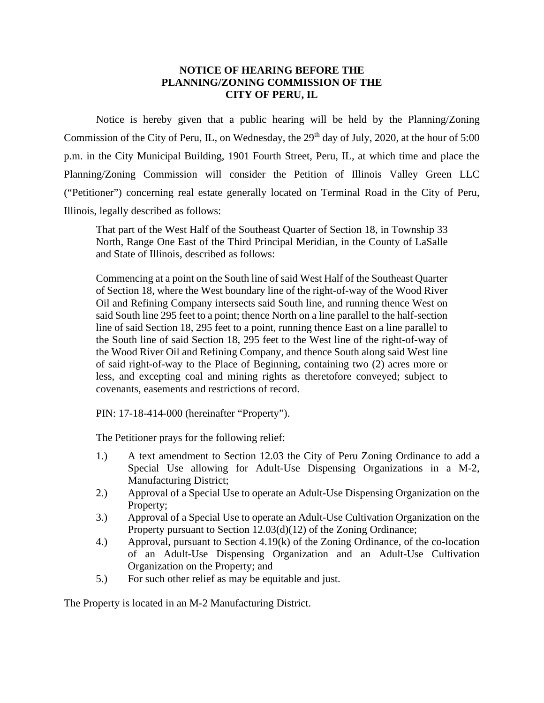## **NOTICE OF HEARING BEFORE THE PLANNING/ZONING COMMISSION OF THE CITY OF PERU, IL**

Notice is hereby given that a public hearing will be held by the Planning/Zoning Commission of the City of Peru, IL, on Wednesday, the 29<sup>th</sup> day of July, 2020, at the hour of 5:00 p.m. in the City Municipal Building, 1901 Fourth Street, Peru, IL, at which time and place the Planning/Zoning Commission will consider the Petition of Illinois Valley Green LLC ("Petitioner") concerning real estate generally located on Terminal Road in the City of Peru, Illinois, legally described as follows:

That part of the West Half of the Southeast Quarter of Section 18, in Township 33 North, Range One East of the Third Principal Meridian, in the County of LaSalle and State of Illinois, described as follows:

Commencing at a point on the South line of said West Half of the Southeast Quarter of Section 18, where the West boundary line of the right-of-way of the Wood River Oil and Refining Company intersects said South line, and running thence West on said South line 295 feet to a point; thence North on a line parallel to the half-section line of said Section 18, 295 feet to a point, running thence East on a line parallel to the South line of said Section 18, 295 feet to the West line of the right-of-way of the Wood River Oil and Refining Company, and thence South along said West line of said right-of-way to the Place of Beginning, containing two (2) acres more or less, and excepting coal and mining rights as theretofore conveyed; subject to covenants, easements and restrictions of record.

PIN: 17-18-414-000 (hereinafter "Property").

The Petitioner prays for the following relief:

- 1.) A text amendment to Section 12.03 the City of Peru Zoning Ordinance to add a Special Use allowing for Adult-Use Dispensing Organizations in a M-2, Manufacturing District;
- 2.) Approval of a Special Use to operate an Adult-Use Dispensing Organization on the Property;
- 3.) Approval of a Special Use to operate an Adult-Use Cultivation Organization on the Property pursuant to Section 12.03(d)(12) of the Zoning Ordinance;
- 4.) Approval, pursuant to Section 4.19(k) of the Zoning Ordinance, of the co-location of an Adult-Use Dispensing Organization and an Adult-Use Cultivation Organization on the Property; and
- 5.) For such other relief as may be equitable and just.

The Property is located in an M-2 Manufacturing District.